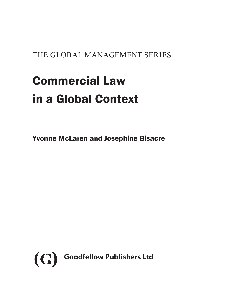THE GLOBAL MANAGEMENT SERIES

# Commercial Law in a Global Context

Yvonne McLaren and Josephine Bisacre

<span id="page-0-0"></span>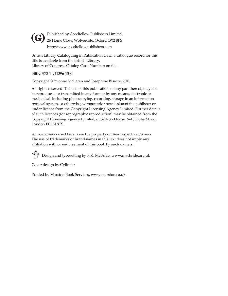Published by Goodfellow Publishers Limited, **(G)** Published by Goodfellow Publishers Limited,<br>26 Home Close, Wolvercote, Oxford OX2 8PS http://www.goodfellowpublishers.com

British Library Cataloguing in Publication Data: a catalogue record for this title is available from the British Library. Library of Congress Catalog Card Number: on file.

ISBN: 978-1-911396-13-0

Copyright © Yvonne McLaren and Josephine Bisacre, 2016

All rights reserved. The text of this publication, or any part thereof, may not be reproduced or transmitted in any form or by any means, electronic or mechanical, including photocopying, recording, storage in an information retrieval system, or otherwise, without prior permission of the publisher or under licence from the Copyright Licensing Agency Limited. Further details of such licences (for reprographic reproduction) may be obtained from the Copyright Licensing Agency Limited, of Saffron House, 6–10 Kirby Street, London EC1N 8TS.

All trademarks used herein are the property of their respective owners. The use of trademarks or brand names in this text does not imply any affiliation with or endorsement of this book by such owners.

 $\bigcirc$  Design and typesetting by P.K. McBride, www.macbride.org.uk

Cover design by Cylinder

Printed by Marston Book Services, www.marston.co.uk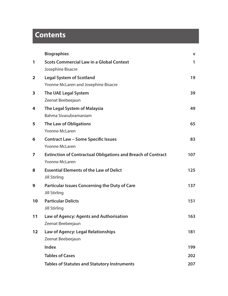# **Contents**

|                         | <b>Biographies</b>                                                  | v   |
|-------------------------|---------------------------------------------------------------------|-----|
| 1                       | <b>Scots Commercial Law in a Global Context</b>                     | 1   |
|                         | Josephine Bisacre                                                   |     |
| $\overline{\mathbf{2}}$ | <b>Legal System of Scotland</b>                                     | 19  |
|                         | Yvonne McLaren and Josephine Bisacre                                |     |
| 3                       | The UAE Legal System                                                | 39  |
|                         | Zeenat Beebeejaun                                                   |     |
| 4                       | The Legal System of Malaysia                                        | 49  |
|                         | Bahma Sivasubramaniam                                               |     |
| 5                       | The Law of Obligations                                              | 65  |
|                         | Yvonne McLaren                                                      |     |
| 6                       | <b>Contract Law - Some Specific Issues</b>                          | 83  |
|                         | Yvonne McLaren                                                      |     |
| 7                       | <b>Extinction of Contractual Obligations and Breach of Contract</b> | 107 |
|                         | <b>Yvonne McLaren</b>                                               |     |
| 8                       | <b>Essential Elements of the Law of Delict</b>                      | 125 |
|                         | <b>Jill Stirling</b>                                                |     |
| 9                       | Particular Issues Concerning the Duty of Care                       | 137 |
|                         | <b>Jill Stirling</b>                                                |     |
| 10                      | <b>Particular Delicts</b>                                           | 151 |
|                         | <b>Jill Stirling</b>                                                |     |
| 11                      | Law of Agency: Agents and Authorisation                             | 163 |
|                         | Zeenat Beebeejaun                                                   |     |
| 12                      | Law of Agency: Legal Relationships                                  | 181 |
|                         | Zeenat Beebeejaun                                                   |     |
|                         | Index                                                               | 199 |
|                         | <b>Tables of Cases</b>                                              | 202 |
|                         | <b>Tables of Statutes and Statutory Instruments</b>                 | 207 |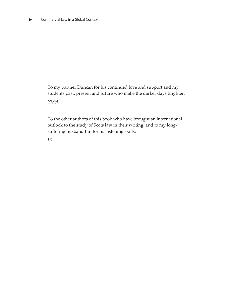To my partner Duncan for his continued love and support and my students past, present and future who make the darker days brighter.

*YMcL*

To the other authors of this book who have brought an international outlook to the study of Scots law in their writing, and to my longsuffering husband Jim for his listening skills.

*JB*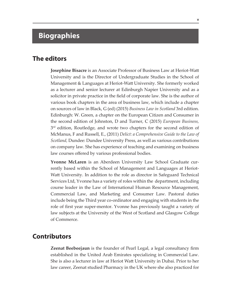# **Biographies**

#### **The editors**

**Josephine Bisacre** is an Associate Professor of Business Law at Heriot-Watt University and is the Director of Undergraduate Studies in the School of Management & Languages at Heriot-Watt University. She formerly worked as a lecturer and senior lecturer at Edinburgh Napier University and as a solicitor in private practice in the field of corporate law. She is the author of various book chapters in the area of business law, which include a chapter on sources of law in Black, G (ed) (2015) *Business Law in Scotland* 3rd edition. Edinburgh: W. Green*,* a chapter on the European Citizen and Consumer in the second edition of Johnston, D and Turner, C (2015) *European Business,*   $3<sup>rd</sup>$  edition, Routledge, and wrote two chapters for the second edition of McManus, F and Russell, E., (2011) *Delict: a Comprehensive Guide to the Law of Scotland,* Dundee: Dundee University Press, as well as various contributions on company law. She has experience of teaching and examining on business law courses offered by various professional bodies.

**Yvonne McLaren** is an Aberdeen University Law School Graduate currently based within the School of Management and Languages at Heriot-Watt University. In addition to the role as director in Safeguard Technical Services Ltd, Yvonne has a variety of roles within the department, including course leader in the Law of International Human Resource Management, Commercial Law, and Marketing and Consumer Law. Pastoral duties include being the Third year co-ordinator and engaging with students in the role of first year super-mentor. Yvonne has previously taught a variety of law subjects at the University of the West of Scotland and Glasgow College of Commerce.

### **Contributors**

**Zeenat Beebeejaun** is the founder of Pearl Legal, a legal consultancy firm established in the United Arab Emirates specializing in Commercial Law. She is also a lecturer in law at Heriot Watt University in Dubai. Prior to her law career, Zeenat studied Pharmacy in the UK where she also practiced for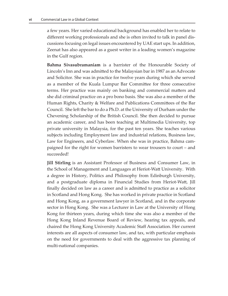a few years. Her varied educational background has enabled her to relate to different working professionals and she is often invited to talk in panel discussions focusing on legal issues encountered by UAE start ups. In addition, Zeenat has also appeared as a guest writer in a leading women's magazine in the Gulf region.

**Bahma Sivasubramaniam** is a barrister of the Honourable Society of Lincoln's Inn and was admitted to the Malaysian bar in 1987 as an Advocate and Solicitor. She was in practice for twelve years during which she served as a member of the Kuala Lumpur Bar Committee for three consecutive terms. Her practice was mainly on banking and commercial matters and she did criminal practice on a pro bono basis. She was also a member of the Human Rights, Charity & Welfare and Publications Committees of the Bar Council. She left the bar to do a Ph.D. at the University of Durham under the Chevening Scholarship of the British Council. She then decided to pursue an academic career, and has been teaching at Multimedia University, top private university in Malaysia, for the past ten years. She teaches various subjects including Employment law and industrial relations, Business law, Law for Engineers, and Cyberlaw. When she was in practice, Bahma campaigned for the right for women barristers to wear trousers to court – and succeeded!

**Jill Stirling** is an Assistant Professor of Business and Consumer Law, in the School of Management and Languages at Heriot-Watt University. With a degree in History, Politics and Philosophy from Edinburgh University, and a postgraduate diploma in Financial Studies from Heriot-Watt, Jill finally decided on law as a career and is admitted to practice as a solicitor in Scotland and Hong Kong. She has worked in private practice in Scotland and Hong Kong, as a government lawyer in Scotland, and in the corporate sector in Hong Kong. She was a Lecturer in Law at the University of Hong Kong for thirteen years, during which time she was also a member of the Hong Kong Inland Revenue Board of Review, hearing tax appeals, and chaired the Hong Kong University Academic Staff Association. Her current interests are all aspects of consumer law, and tax, with particular emphasis on the need for governments to deal with the aggressive tax planning of multi-national companies.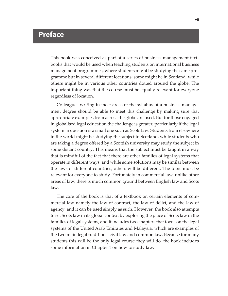## **Preface**

This book was conceived as part of a series of business management textbooks that would be used when teaching students on international business management programmes, where students might be studying the same programme but in several different locations: some might be in Scotland, while others might be in various other countries dotted around the globe. The important thing was that the course must be equally relevant for everyone regardless of location.

Colleagues writing in most areas of the syllabus of a business management degree should be able to meet this challenge by making sure that appropriate examples from across the globe are used. But for those engaged in globalised legal education the challenge is greater, particularly if the legal system in question is a small one such as Scots law. Students from elsewhere in the world might be studying the subject in Scotland, while students who are taking a degree offered by a Scottish university may study the subject in some distant country. This means that the subject must be taught in a way that is mindful of the fact that there are other families of legal systems that operate in different ways, and while some solutions may be similar between the laws of different countries, others will be different. The topic must be relevant for everyone to study. Fortunately in commercial law, unlike other areas of law, there is much common ground between English law and Scots law.

The core of the book is that of a textbook on certain elements of commercial law namely the law of contract, the law of delict, and the law of agency, and it can be used simply as such. However, the book also attempts to set Scots law in its global context by exploring the place of Scots law in the families of legal systems, and it includes two chapters that focus on the legal systems of the United Arab Emirates and Malaysia, which are examples of the two main legal traditions: civil law and common law. Because for many students this will be the only legal course they will do, the book includes some information in Chapter 1 on how to study law.